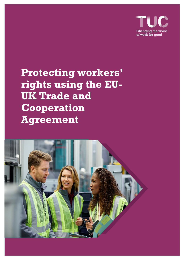

**Protecting workers' rights using the EU-UK Trade and Cooperation Agreement**

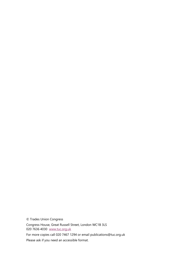© Trades Union Congress Congress House, Great Russell Street, London WC1B 3LS 020 7636 4030 [www.tuc.org.uk](http://www.tuc.org.uk/) For more copies call 020 7467 1294 or email publications@tuc.org.uk Please ask if you need an accessible format.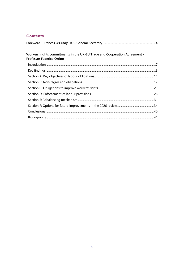### **Contents**

| Workers' rights commitments in the UK-EU Trade and Cooperation Agreement -<br>Professor Federico Ortino |  |
|---------------------------------------------------------------------------------------------------------|--|
|                                                                                                         |  |
|                                                                                                         |  |
|                                                                                                         |  |
|                                                                                                         |  |
|                                                                                                         |  |
|                                                                                                         |  |
|                                                                                                         |  |
|                                                                                                         |  |
|                                                                                                         |  |
|                                                                                                         |  |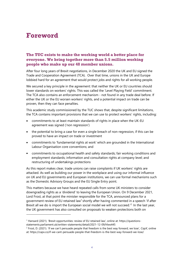# **Foreword**

### **The TUC exists to make the working world a better place for everyone. We bring together more than 5.5 million working people who make up our 48 member unions.**

After four long years of Brexit negotiations, in December 2020 the UK and EU signed the Trade and Cooperation Agreement (TCA). Over that time, unions in the UK and Europe lobbied hard for an agreement that would protect jobs and rights for all working people.

We secured a key principle in the agreement: that neither the UK or EU countries should lower standards on workers' rights. This was called the 'Level Playing Field' commitment. The TCA also contains an enforcement mechanism - not found in any trade deal before. If either the UK or the EU worsen workers' rights, and a potential impact on trade can be proven, then they can face penalties.

This academic study commissioned by the TUC shows that, despite significant limitations, the TCA contains important provisions that we can use to protect workers' rights, including:

- commitments to at least maintain standards of rights in place when the UK-EU agreement was signed ('non regression')
- the potential to bring a case for even a single breach of non-regression, if this can be proved to have an impact on trade or investment
- commitments to 'fundamental rights at work' which are grounded in the International Labour Organisation core conventions; and
- commitments to occupational health and safety standards; fair working conditions and employment standards; information and consultation rights at company level; and restructuring of undertakings protections

As this report makes clear, trade unions can raise complaints if UK workers' rights are attacked. As well as building our power in the workplace and using our informal influence on UK and EU governments and European institutions, we can use formal mechanisms such as the Domestic Advisory Groups and the EU Single Entry point.

This matters because we have heard repeated calls from some UK ministers to consider downgrading rights as a 'dividend' to leaving the European Union. On 9 December 2021, Lord Frost, at that point the minister responsible for the TCA, announced plans for a government review of EU retained law<sup>1</sup> shortly after having commented in a speech 'if after Brexit all we do is import the European social model we will not succeed.<sup>'2</sup> In the last year, the UK government has also consulted on proposals to weaken protections both on

<sup>1</sup> Hansard (2021). 'Brexit opportunities: review of EU retained law', online at: [https://questions](https://questions-statements.parliament.uk/written-statements/detail/2021-12-09/hlws445)[statements.parliament.uk/written-statements/detail/2021-12-09/hlws445](https://questions-statements.parliament.uk/written-statements/detail/2021-12-09/hlws445)

<sup>2</sup> Frost, D. (2021). 'If we can't persuade people that freedom is the best way forward, we lose', *CapX*, online at:<https://capx.co/if-we-cant-persuade-people-that-freedom-is-the-best-way-forward-we-lose/>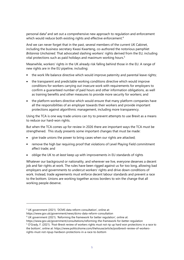personal data<sup>3</sup> and set out a comprehensive new approach to regulation and enforcement which would reduce both existing rights and effective enforcement.<sup>4</sup>

And we can never forget that in the past, several members of the current UK Cabinet, including the business secretary Kwasi Kwarteng, co-authored the notorious pamphlet *Britannia Unchained*. That advocated slashing workers' rights derived from the EU, including vital protections such as paid holidays and maximum working hours.<sup>5</sup>

Meanwhile, workers' rights in the UK already risk falling behind those in the EU. A range of new rights are in the EU pipeline, including:

- the work life balance directive which would improve paternity and parental leave rights;
- the transparent and predictable working conditions directive which would improve conditions for workers carrying out insecure work with requirements for employers to confirm a guaranteed number of paid hours and other information obligations, as well as training benefits and other measures to provide more security for workers; and
- the platform workers directive which would ensure that many platform companies have all the responsibilities of an employer towards their workers and provide important protections against algorithmic management, including more transparency.

Using the TCA is one way trade unions can try to prevent attempts to use Brexit as a means to reduce our hard-won rights.

But when the TCA comes up for review in 2026 there are important ways the TCA must be strengthened. This study presents some important changes that must be made:

- give trade unions the power to bring cases when our rights are attacked;
- remove the high bar requiring proof that violations of Level Playing Field commitment affect trade; and
- oblige the UK to *at least* keep up with improvements in EU standards of rights

Whatever our background or nationality, and wherever we live, everyone deserves a decent job and fair rights at work. The rules have been rigged against us for too long, allowing bad employers and governments to undercut workers' rights and drive down conditions of work. Instead, trade agreements must enforce decent labour standards and prevent a race to the bottom. Unions are working together across borders to win the change that all working people deserve.

<sup>&</sup>lt;sup>3</sup> UK government (2021). 'DCMS data reform consultation', online at:

<https://www.gov.uk/government/news/dcms-data-reform-consultation>

<sup>4</sup> UK government (2021). 'Reforming the framework for better regulation', online at:

<https://www.gov.uk/government/consultations/reforming-the-framework-for-better-regulation>

<sup>&</sup>lt;sup>5</sup> O'Grady, F. (2021). 'Post-Brexit review of workers rights must not rip up hard won protections in a race to the bottom', online at: [https://www.politicshome.com/thehouse/article/postbrexit-review-of-workers-](https://www.politicshome.com/thehouse/article/postbrexit-review-of-workers-rights-must-not-ripup-hardwon-protections-in-a-race-to-bottom)

[rights-must-not-ripup-hardwon-protections-in-a-race-to-bottom](https://www.politicshome.com/thehouse/article/postbrexit-review-of-workers-rights-must-not-ripup-hardwon-protections-in-a-race-to-bottom)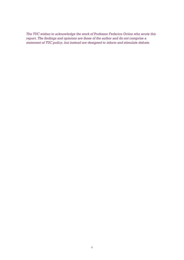*The TUC wishes to acknowledge the work of Professor Federico Ortino who wrote this report. The findings and opinions are those of the author and do not comprise a statement of TUC policy, but instead are designed to inform and stimulate debate.*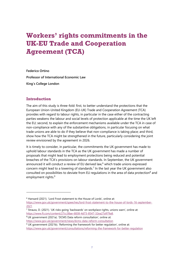# **Workers' rights commitments in the UK-EU Trade and Cooperation Agreement (TCA)**

**Federico Ortino Professor of International Economic Law King's College London**

### **Introduction**

The aim of this study is three-fold: first, to better understand the protections that the European Union-United Kingdom (EU-UK) Trade and Cooperation Agreement (TCA) provides with regard to labour rights, in particular in the case either of the contracting parties weakens the labour and social levels of protection applicable at the time the UK left the EU; second, to explain the enforcement mechanisms available under the TCA in case of non-compliance with any of the substantive obligations, in particular focusing on what trade unions are able to do if they believe that non-compliance is taking place; and third, show how the TCA might be strengthened in the future, particularly considering the joint review envisioned by the agreement in 2026.

It is timely to consider, in particular, the commitments the UK government has made to uphold labour standards in the TCA as the UK government has made a number of proposals that might lead to employment protections being reduced and potential breaches of the TCA's provisions on labour standards. In September, the UK government announced it will conduct a review of EU derived law, $6$  which trade unions expressed concern might lead to a lowering of standards. $<sup>7</sup>$  In the last year the UK government also</sup> consulted on possibilities to deviate from EU regulations in the area of data protection<sup>8</sup> and employment rights.<sup>9</sup>

<sup>6</sup> Hansard (2021). 'Lord Frost statement to the House of Lords', online at:

[https://www.gov.uk/government/speeches/lord-frost-statement-to-the-house-of-lords-16-september-](https://www.gov.uk/government/speeches/lord-frost-statement-to-the-house-of-lords-16-september-2021)[2021](https://www.gov.uk/government/speeches/lord-frost-statement-to-the-house-of-lords-16-september-2021)

<sup>7</sup> Strauss, D. (2021). 'UK risks going 'backwards' on workplace rights, unions warn', online at: [https://www.ft.com/content/27cc38ae-6838-4d73-8547-32ea27a979a8.](https://www.ft.com/content/27cc38ae-6838-4d73-8547-32ea27a979a8)

<sup>8</sup> UK government (2021a). 'DCMS Data reform consultation', online at:

<https://www.gov.uk/government/news/dcms-data-reform-consultation>

<sup>9</sup> UK government (2021b). 'Reforming the framework for better regulation', online at:

<https://www.gov.uk/government/consultations/reforming-the-framework-for-better-regulation>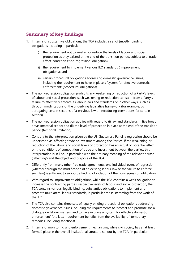## **Summary of key findings**

- 1. In terms of substantive obligations, the TCA includes a set of (mostly) binding obligations including in particular:
	- i) the requirement not to weaken or reduce the levels of labour and social protection as they existed at the end of the transition period, subject to a 'trade effect' condition ('non-regression' obligation);
	- ii) the requirement to implement various ILO standards ('improvement' obligations); and
	- iii) certain procedural obligations addressing domestic governance issues, including the requirement to have in place a 'system for effective domestic enforcement' (procedural obligations)
- The non-regression obligation prohibits any weakening or reduction of a Party's levels of labour and social protection; such weakening or reduction can stem from a Party's failure to effectively enforce its labour laws and standards or in other ways, such as through modifications of the underlying legislative framework (for example, by abrogating certain sections of a previous law or introducing exemptions for certain sectors)
- The non-regression obligation applies with regard to (i) law and standards in five broad areas (material scope) and (ii) the level of protection in place at the end of the transition period (temporal limitation)
- Contrary to the interpretation given by the US-Guatemala Panel, a regression should be understood as 'affecting trade or investment among the Parties' if the weakening or reduction of the labour and social levels of protection has an actual or potential effect on the conditions of competition of trade and investment between the parties; this interpretation is in line, in particular, with the ordinary meaning of the relevant phrase ('affecting') and the object and purpose of the TCA
- Differently from many other free trade agreements, one individual event of regression (whether through the modification of an existing labour law or the failure to enforce such law) is sufficient to support a finding of violation of the non-regression obligation
- With regard to 'improvement' obligations, while the TCA contains a weak obligation to increase the contracting parties' respective levels of labour and social protection, the TCA contains various, legally binding, substantive obligations to implement and promote multilateral labour standards, in particular those stemming from the work of the ILO
- The TCA also contains three sets of legally binding procedural obligations addressing domestic governance issues including the requirements to 'protect and promote social dialogue on labour matters' and to have in place a 'system for effective domestic enforcement' (the latter requirement benefits from the availability of 'temporary remedies' including sanctions)
- 2. In terms of monitoring and enforcement mechanisms, while civil society has a (at least formal) place in the overall institutional structure set out by the TCA (in particular,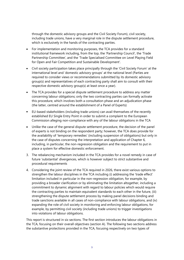through the domestic advisory groups and the Civil Society Forum), civil society, including trade unions, have a very marginal role in the dispute settlement procedure, which is exclusively in the hands of the contracting parties.

- For implementation and monitoring purposes, the TCA provides for a standard institutional framework including, from the top, the 'Partnership Council', the 'Trade Partnership Committee', and the 'Trade Specialised Committee on Level Playing Field for Open and Fair Competition and Sustainable Development'.
- Civil society participation takes place principally through the 'Civil Society Forum' at the international level and 'domestic advisory groups' at the national level (Parties are required to consider views or recommendations submitted by its domestic advisory group(s) and representatives of each contracting party shall aim to consult with their respective domestic advisory group(s) at least once a year).
- The TCA provides for a special dispute settlement procedure to address any matter concerning labour obligations; only the two contracting parties can formally activate this procedure, which involves both a consultation phase and an adjudication phase (the latter, centred around the establishment of a Panel of Experts)
- EU-based stakeholders (including trade unions) can avail themselves of the recently established EU Single Entry Point in order to submit a complaint to the European Commission alleging non-compliance with any of the labour obligations in the TCA
- Unlike the case of the general dispute settlement procedure, the decision of the panel of experts is not binding on the respondent party; however, the TCA does provide for the availability of 'temporary remedies' (including suspension of obligations) but only in the case of disputes concerning the interpretation and application of Chapter 6, including, in particular, the non-regression obligation and the requirement to put in place a system for effective domestic enforcement.
- 3. The rebalancing mechanism included in the TCA provides for a novel remedy in case of future 'substantial' divergences, which is however subject to strict substantive and procedural requirements
- 4. Considering the joint review of the TCA required in 2026, there exist various options to strengthen the labour disciplines in the TCA including (i) addressing the 'trade effect' limitation included in particular in the non-regression obligation, for example, by providing a broader clarification or by eliminating the limitation altogether, including a commitment to dynamic alignment with regard to labour policies which would require the contracting parties to maintain equivalent standards to each other in the future, (iii) strengthening the dispute settlement process by making panel decisions binding and trade sanctions available in all cases of non-compliance with labour obligations, and (iv) expanding the role of civil society in monitoring and enforcing labour obligations, for example, by permitting civil society (including trade unions) to trigger investigations into violations of labour obligations.

This report is structured in six sections. The first section introduces the labour obligations in the TCA, focusing on their overall objectives (section A). The following two sections address the substantive protections provided in the TCA, focusing respectively on two types of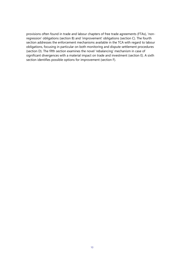provisions often found in trade and labour chapters of free trade agreements (FTAs), 'nonregression' obligations (section B) and 'improvement' obligations (section C). The fourth section addresses the enforcement mechanisms available in the TCA with regard to labour obligations, focusing in particular on both monitoring and dispute settlement procedures (section D). The fifth section examines the novel 'rebalancing' mechanism in case of significant divergences with a material impact on trade and investment (section E). A sixth section identifies possible options for improvement (section F).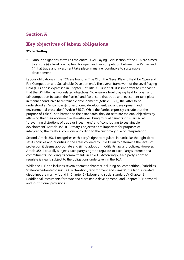# **Section A**

# **Key objectives of labour obligations**

### **Main finding**

• Labour obligations as well as the entire Level Playing Field section of the TCA are aimed to ensure (i) a level playing field for open and fair competition between the Parties and (ii) that trade and investment take place in manner conducive to sustainable development

Labour obligations in the TCA are found in Title XI on the "Level Playing Field for Open and Fair Competition and Sustainable Development". The overall framework of the Level Playing Field (LPF) title is expressed in Chapter 1 of Title XI. First of all, it is important to emphasise that the LPF title has two, related objectives: "to ensure a level playing field for open and fair competition between the Parties" and "to ensure that trade and investment take place in manner conducive to sustainable development" (Article 355.1), the latter to be understood as "encompass[ing] economic development, social development and environmental protection" (Article 355.2). While the Parties expressly exclude that the purpose of Title XI is to harmonise their standards, they do reiterate the dual objectives by affirming that their economic relationship will bring mutual benefits if it is aimed at "preventing distortions of trade or investment" and "contributing to sustainable development" (Article 355.4). A treaty's objectives are important for purposes of interpreting the treaty's provisions according to the customary rule of interpretation.

Second, Article 356.1 recognises each party's right to regulate, in particular the right (i) to set its policies and priorities in the areas covered by Title XI, (ii) to determine the levels of protection it deems appropriate and (iii) to adopt or modify its law and policies. However, Article 356.1 crucially subjects each party's right to regulate to each Party's international commitments, including its commitments in Title XI. Accordingly, each party's right to regulate is clearly subject to the obligations undertaken in the TCA.

While the LPF title includes several thematic chapters including on 'competition', 'subsidies', 'state-owned-enterprises' (SOEs), 'taxation', 'environment and climate', the labour-related disciplines are mainly found in Chapter 6 ('Labour and social standards'), Chapter 8 ('Additional instruments for trade and sustainable development') and Chapter 9 ('Horizontal and institutional provisions').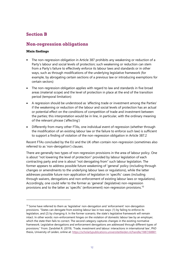# **Section B**

### **Non-regression obligations**

### **Main findings**

- The non-regression obligation in Article 387 prohibits any weakening or reduction of a Party's labour and social levels of protection; such weakening or reduction can stem from a Party's failure to effectively enforce its labour laws and standards or in other ways, such as through modifications of the underlying legislative framework (for example, by abrogating certain sections of a previous law or introducing exemptions for certain sectors)
- The non-regression obligation applies with regard to law and standards in five broad areas (material scope) and the level of protection in place at the end of the transition period (temporal limitation)
- A regression should be understood as 'affecting trade or investment among the Parties' if the weakening or reduction of the labour and social levels of protection has an actual or potential effect on the conditions of competition of trade and investment between the parties; this interpretation would be in line, in particular, with the ordinary meaning of the relevant phrase ('affecting')
- Differently from many other FTAs, one individual event of regression (whether through the modification of an existing labour law or the failure to enforce such law) is sufficient to support a finding of violation of the non-regression obligation in Article 387.2

Recent FTAs concluded by the EU and the UK often contain non-regression (sometimes also referred to as 'non-derogation') clauses.

There are generally two types of non-regression provisions in the area of labour policy. One is about "not lowering the level of protection" provided by labour legislation of each contracting party and one is about "not derogating from" such labour legislation. The former appears to address possible future weakening of 'general' policy (including through changes or amendments to the underlying labour laws or regulations), while the latter addresses possible future non-application of legislation in 'specific' cases (including through waivers, derogations and non-enforcement of existing labour laws or regulations). Accordingly, one could refer to the former as 'general' (legislative) non-regression provisions and to the latter as 'specific' (enforcement) non-regression provisions.<sup>10</sup>

 $10$  Some have referred to them as 'legislative' non-derogation and 'enforcement' non-derogation provisions. "States can derogate from existing labour law in two ways: (1) by failing to enforce its legislation, and (2) by changing it. In the former scenario, the state's legislative framework will remain intact. In other words: non-enforcement hinges on the violation of domestic labour law by an employer, which the state then fails to correct. The second category captures changes in the existing normative framework. Legislative derogations and enforcement derogations are addressed through different types of provisions." From: Zandvliet R. (2019). 'Trade, investment and labour: interactions in international law', PhD thesis, University of Leiden, online at:<https://scholarlypublications.universiteitleiden.nl/handle/1887/68881>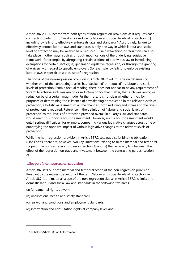Article 387.2 TCA incorporates both types of non-regression provisions as it requires each contracting party not to "weaken or reduce its labour and social levels of protection […], including by failing to effectively enforce its laws and standards". Accordingly, failure to effectively enforce labour laws and standards is only one way in which labour and social level of protection may be weakened or reduced.<sup>11</sup> Such weakening or reduction can also take place in other ways, such as through modifications of the underlying legislative framework (for example, by abrogating certain sections of a previous law or introducing exemptions for certain sectors; ie, general or legislative regression) or through the granting of waivers with regard to specific employers (for example, by failing to enforce existing labour laws in specific cases; ie., specific regression).

The focus of the non-regression provision in Article 387.2 will thus be on determining whether one of the contracting parties has 'weakened' or 'reduced' its labour and social levels of protection. From a textual reading, there does not appear to be any requirement of 'intent' to achieve such weakening or reduction or, for that matter, that such weakening or reduction be of a certain magnitude. Furthermore, it is not clear whether or not, for purposes of determining the existence of a weakening or reduction in the relevant levels of protection, a holistic assessment of all the changes (both reducing and increasing the levels of protection) is required. Reference in the definition of 'labour and social levels of protection' to the 'levels of protection provided overall in a Party's law and standards' would seem to support a holistic assessment. However, such a holistic assessment would entail serious difficulties, for example, comparing various legislative changes across time or quantifying the opposite impact of various legislative changes to the relevant levels of protection.

While the non-regression provision in Article 387.2 sets out a strict binding obligation ("shall not"), there are, however, two key limitations relating to (i) the material and temporal scope of the non-regression provision (section 1) and (ii) the necessary link between the effect of the regression on trade and investment between the contracting parties (section 2).

### 1.Scope of non-regression provision

Article 387 sets out both material and temporal scope of the non-regression provision. Pursuant to the express definition of the term 'labour and social levels of protection' in Article 387.1, the material scope of the non-regression clause in Article 387.2 is limited to domestic labour and social law and standards in the following five areas:

- (a) fundamental rights at work;
- (b) occupational health and safety standards;
- (c) fair working conditions and employment standards;
- (d) information and consultation rights at company level; and

<sup>&</sup>lt;sup>11</sup> See below Article 388 on Enforcement.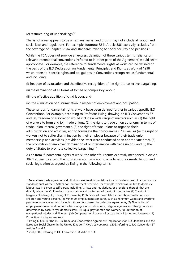#### (e) restructuring of undertakings.<sup>12</sup>

The list of areas appears to be an exhaustive list and thus it may not include all labour and social laws and regulations. For example, footnote 62 in Article 386 expressly excludes from the coverage of Chapter 6 "law and standards relating to social security and pensions."

While the TCA does not provide an express definition of these various terms, reliance on relevant international conventions (referred to in other parts of the Agreement) would seem appropriate. For example, the reference to 'fundamental rights at work' can be defined on the basis of the ILO Declaration on Fundamental Principles and Rights at Work of 1998, which refers to 'specific rights and obligations in Conventions recognized as fundamental' and including:

(i) freedom of association and the effective recognition of the right to collective bargaining;

(ii) the elimination of all forms of forced or compulsory labour;

(iii) the effective abolition of child labour; and

(iv) the elimination of discrimination in respect of employment and occupation.

These various fundamental rights at work have been defined further in various specific ILO Conventions. For example, according to Professor Ewing, drawing on ILO Conventions 87 and 98, freedom of association would include a wide range of matters such as (1) the right of workers to form and join trade unions, (2) the right to trade union autonomy in terms of trade union internal governance, (3) the right of trade unions to organise their administration and activities, and to formulate their programmes,<sup>13</sup> as well as (4) the right of workers not to suffer discrimination by their employer because of their trade union membership and activities (provided the latter were conducted at an appropriate time), (5) the prohibition of employer domination of or interference with trade unions, and (6) the duty of States to promote collective bargaining.<sup>14</sup>

Aside from 'fundamental rights at work', the other four terms expressly mentioned in Article 387.1 appear to extend the non-regression provision to a wide set of domestic labour and social legislation as argued by Ewing in the following terms:

 $12$  Several free trade agreements do limit non-regression provisions to a particular subset of labour laws or standards such as the NAALC's non-enforcement provision, for example, which was limited to domestic labour laws in eleven specific areas including: "... laws and regulations, or provisions thereof, that are directly related to: (1) Freedom of association and protection of the right to organize, (2) The right to bargain collectively, (3) The right to strike, (4) Prohibition of forced labour, (5) Labour protections for children and young persons, (6) Minimum employment standards, such as minimum wages and overtime pay, covering wage earners, including those not covered by collective agreements, (7) Elimination of employment discrimination on the basis of grounds such as race, religion, age, sex, or other grounds as determined by each Party's domestic laws, (8) Equal pay for men and women, (9) Prevention of occupational injuries and illnesses, (10) Compensation in cases of occupational injuries and illnesses, (11) Protection of migrant workers."

<sup>&</sup>lt;sup>13</sup> Ewing K. (2021). 'The EU-UK Trade and Cooperation Agreement: Implications for ILO Standards and the European Social Charter in the United Kingdom' *King's Law Journal*, p.306, referring to ILO Convention 87, Articles 2 and 3.

<sup>14</sup> ibid p.309, referring to ILO Convention 98, Articles 1-4.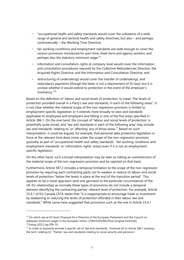- "occupational health and safety standards would cover the substance of a wide range of general and sectoral health and safety directives, but also – and perhaps controversially – the Working Time Directive;
- fair working conditions and employment standards are wide enough to cover the various provisions introduced for part-time, fixed-term and agency workers, and perhaps also the statutory minimum wage;<sup>15</sup>
- information and consultation rights at company level would cover the information and consultation procedures required by the Collective Redundancies Directive, the Acquired Rights Directive; and the Information and Consultation Directive; and
- restructuring of undertakings would cover the transfer of undertakings, and redundancy payments (though the latter is not a requirement of EU law); but it is unclear whether it would extend to protection in the event of the employer's insolvency."<sup>16</sup>

Based on the definition of 'labour and social levels of protection' to mean "the levels of protection provided overall in a Party's law and standards, in each of the following areas", it is not clear whether the material scope of the non-regression provision is limited to employment-specific legislation or it extends more broadly to laws and standards applicable to employees and employers and falling in one of the five areas specified in Article 386.1. On the one hand, the concept of 'labour and social levels of protection' is potentially quite broad, and 'law and standards in each of the following area' may include law and standards 'relating to' or 'affecting' any of those areas.<sup>17</sup> Based on such interpretation, it could be argued, for example, that personal data protection legislation in force at the relevant time does come under the scope of the non-regression provision (possibly as part of 'occupational health and safety standards', 'fair working conditions and employment standards' or 'information rights' areas) even if it is not an employmentspecific legislation.

On the other hand, such a broad interpretation may be seen as risking an overextension of the material scope of the non-regression provision and be rejected on that basis.

Furthermore, Article 387.2 includes a temporal limitation to the scope of the non-regression provision by requiring each contracting party not to weaken or reduce its labour and social levels of protection "below the levels in place at the end of the transition period". This appears to be a novel approach (and one germane to the particular circumstances of the UK-EU relationship) as normally these types of provisions do not include a temporal element identifying the contracting parties' relevant level of protection. For example, Article 23.4.1 of EU-Canada CETA states that "it is inappropriate to encourage trade or investment by weakening or reducing the levels of protection afforded in their labour law and standards." While some have suggested that provisions such as the one in Article 23.4.1

<sup>&</sup>lt;sup>15</sup> On which see at EU level, Proposal for a Directive of the European Parliament and the Council on adequate minimum wages in the European Union, COM/2020/682/final [original footnote]. <sup>16</sup> Ewing (2021) pp.309-10.

<sup>17</sup> In order to expressly exclude a specific set of 'law and standards', Footnote 62 to Article 386.1 employs the term 'relating to': "Parties' law and standards relating to social security and pensions".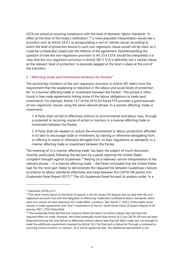CETA are aimed at ensuring compliance with the level of domestic labour standards "in effect at the time of the treaty's ratification",<sup>18</sup> a more plausible interpretation would see a provision such as Article 23.4.1 as encapsulating a sort of 'ratchet clause' according to which the level of protection bound in such non-regression clause would not be static as it could be (unilaterally) raised over the lifetime of the agreement. Notwithstanding the question of how the non-regression provision in Art 23.4 CETA should be interpreted, it is clear that the non-regression provision in Article 387.2 TCA is definitely not a ratchet clause as the relevant 'level of protection' is expressly pegged at the level in place at the end of the transition.

#### 2. "Affecting trade and investment between the Parties"

The second key limitation of the non-regression provision in Article 387 stems from the requirement that the weakening or reduction in the labour and social levels of protection be "in a manner affecting trade or investment between the Parties". This phrase is often found in free trade agreements linking some of the labour obligations to trade (and investment). For example, Article 13.7 of the 2010 EU-Korea FTA provides a good example of non-regression clauses using the same relevant phrase 'in a manner affecting' trade or investment:

1. A Party shall not fail to effectively enforce its environmental and labour laws, through a sustained or recurring course of action or inaction, in a manner affecting trade or investment between the Parties.

2. A Party shall not weaken or reduce the environmental or labour protections afforded in its laws to encourage trade or investment, by waiving or otherwise derogating from, or offering to waive or otherwise derogate from, its laws, regulations or standards, in a manner affecting trade or investment between the Parties.

The meaning of 'in a manner affecting trade' has been the subject of much discussion recently, particularly following the decision by a panel rejecting the United States' complaint brought against Guatemala.<sup>19</sup> Relying on a relatively narrow interpretation of the relevant phrase – 'in a manner affecting trade' – the Panel concluded that the United States had, for the most part, failed to demonstrate the required link between Guatemala's failures to enforce its labour standards effectively and trade between the CAFTA-DR parties (US-Guatemala Panel Report 2017).<sup>20</sup> The US-Guatemala Panel focused its analysis under 'in a

<sup>18</sup> Zandvliet (2019) p.211.

<sup>&</sup>lt;sup>19</sup> The more recent report of the Panel of experts in the EU-Korea FTA dispute did not deal with the nonregression provision but with the obligation to effectively implement multilateral labour standards, which does not contain (at least expressly) the 'trade effect' condition. See: Novitz T. (2021).'Enforceable social clauses in trade agreements with 'bite'? Implications of the EU–South Korea Panel of Experts Report of 20 January 2021', *ETUI Policy Brief*

<sup>&</sup>lt;sup>20</sup> The Guatemala Panel did find one instance where the failure to enforce labour laws did have the required effect on trade. However, the Panel eventually found that Article 16.2.1(a) CAFTA-DR had not been breached because the only failure to effectively enforce labour laws that did affect trade was not enough to meet the additional requirement imposed by Article 16.2.1(a) that such a failure be 'through a sustained or recurring course of action or inaction'. As it will be explained later, this additional requirement is not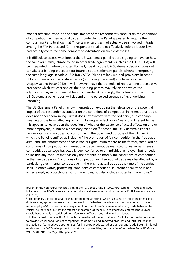manner affecting trade' on the actual impact of the respondent's conduct on the conditions of competition in international trade. In particular, the Panel appeared to require the complaining Party to show that (1) certain enterprises had actually been involved in trade among the FTA Parties and (2) the respondent's failure to effectively enforce labour laws had actually conferred some competitive advantage on such enterprises.

It is difficult to assess what impact the US-Guatemala panel report is going to have on how the same (or similar) phrase found in other trade agreements (such as the UK-EU TCA) will be interpreted in future disputes. Formally speaking, the US-Guatemala decision does not constitute a binding precedent for future dispute settlement panels, whether interpreting the same language in Article 16.2.1(a) CAFTA-DR or similarly worded provisions in other FTAs, as there is no rule of stare decisis (or binding precedent) in international law (Acquaviva and Pocar 2012). It will, however, have the potential of representing a persuasive precedent which (at least one of) the disputing parties may rely on and which the adjudicator may in turn need at least to consider. Accordingly, the potential impact of the US-Guatemala panel report will depend on the perceived strength of its underlying reasoning.

The US-Guatemala Panel's narrow interpretation excluding the relevance of the potential impact of the respondent's conduct on the conditions of competition in international trade, does not appear convincing. First, it does not conform with the ordinary (ie., dictionary) meaning of the term 'affecting', which is 'having an effect on' or 'making a different to', as this appears to leave open the question of whether the existence of actual effects on one or more employer(s) is indeed a necessary condition.<sup>21</sup> Second, the US-Guatemala Panel's narrow interpretation does not conform with the object and purpose of the CAFTA-DR, which the Panel identified as including "the promotion of fair competition in the free trade area" and "the enforcement of basic worker rights". With regard to the former, safeguarding conditions of competition in international trade cannot be restricted to instances where a competitive advantage has actually been conferred to an individual employer, but it needs to include any conduct that has only the potential to modify the conditions of competition in the free trade area. Conditions of competition in international trade may be affected by a particular governmental conduct even if there is no actual trade at the time of the conduct itself. In other words, protecting 'conditions of competition' in international trade is not aimed simply at protecting existing trade flows, but also includes potential trade flows.<sup>22</sup>

present in the non-regression provision of the TCA. See: Ortino F. (2022 forthcoming): 'Trade and labour linkages and the US–Guatemala panel report: Critical assessment and future impact' ETUI Working Papers (11, 2021)

<sup>&</sup>lt;sup>21</sup> The ordinary (i.e. dictionary) meaning of the term 'affecting', which is 'having an effect on' or 'making a difference to', appears to leave open the question of whether the existence of actual effects on one or more employer(s) is indeed a necessary condition. The phrase 'in a manner affecting trade between the Parties' neither specifies that the effects (for example, of the failure to effectively enforce labour laws) should have actually materialised nor refers to an effect on any individual employer.

 $22$  In the context of Article III GATT, the broad reading of the term 'affecting' is linked to the drafters' intent to provide 'equal conditions of competition' to domestic and imported products and thus includes the protection of 'competitive opportunities' for imported products rather than existing 'trade flows'. '[I]t is well established that WTO rules protect competitive opportunities, not trade flows'. Appellate Body, US–Tuna, WT/DS381/AB/R, 16 May 2012, para 239.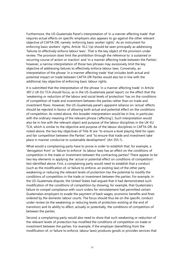Furthermore, the US-Guatemala Panel's interpretation of 'in a manner affecting trade' that requires actual effects on specific employers also appears to go against the other relevant objective of CAFTA-DR, namely 'enforcing basic worker rights'. As an instrument for enforcing basic workers' rights, Article 16.2.1(a) should be seen principally as addressing 'failures to effectively enforce labour laws'. That is the key object of the provision under review. The provision does limit the prohibition through the reference to 'a sustained or recurring course of action or inaction' and 'in a manner affecting trade between the Parties'; however, a narrow interpretation of those two phrases may excessively limit the key objective of addressing failures to effectively enforce labour laws. Conversely, an interpretation of the phrase 'in a manner affecting trade' that includes both actual and potential impact on trade between CAFTA-DR Parties would also be in line with the additional, key objective of enforcing basic labour rights.

It is submitted that the interpretation of the phrase 'in a manner affecting trade' in Article 387.2 UK-EU TCA should focus, as in the US-Guatemala panel report, on the effect that the 'weakening or reduction of the labour and social levels of protection' has on the conditions of competition of trade and investment between the parties rather than on trade and investment flows. However, the US-Guatemala panel's apparent reliance on 'actual' effects should be rejected in favour of allowing both actual and potential effect on the conditions of competition. As noted above, this broader interpretation would be in line, in particular, with the ordinary meaning of the relevant phrase ('affecting'). Such interpretation would also be in line with the relevant object and purpose of the labour disciplines in the UK-EU TCA, which is similar to the objective and purpose of the labour disciplines in CAFTA-DR. As noted above, the two key objectives of Title XI are "to ensure a level playing field for open and fair competition between the Parties" and "to ensure that trade and investment take place in manner conducive to sustainable development" (Art 355.1).

What would a complaining party have to prove in order to establish that, for example, a 'derogation from' or 'failure to enforce' its labour laws has an effect on the conditions of competition in the trade or investment between the contracting parties? There appear to be two key elements in applying the 'actual or potential effect on conditions of competition' test identified above. First, a complaining party would need to establish that a conduct (such as the modification of, or failure to enforce, an existing law) of the other party weakening or reducing the relevant levels of protection has the potential to modify the conditions of competition in the trade or investment between the parties. For example, in the US-Guatemala dispute, the United States had argued that it had demonstrated such modification of the conditions of competition by showing, for example, that Guatemala's failure to compel compliance with court orders for reinstatement had permitted certain Guatemalan employers to evade the payment of back wages, economic benefits and fines ordered by the domestic labour courts. The focus should thus be on the specific conduct under review (ie the weakening or reducing levels of protection existing at the end of transition) and its ability to affect, actually or potentially, the conditions of competition of between the parties.

Second, a complaining party would also need to show that such weakening or reduction of the relevant levels of protection has modified the conditions of competition on trade or investment between the parties. For example, if the employer (benefitting from the modification of, or failure to enforce, labour laws) produces goods or provides services that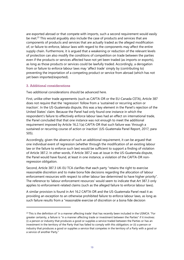are exported abroad or that compete with imports, such a second requirement would easily be met.<sup>23</sup> This would arguably also include the case of products and services that are components of products and services that are actually traded as the alleged modification of, or failure to enforce, labour laws with regard to the components may affect the entire supply chain. Furthermore, it is argued that a weakening or reduction of the relevant levels of protection can also modify the conditions of competition on trade between the parties even if the products or services affected have not yet been traded (as imports or exports), as long as those products or services could be lawfully traded. Accordingly, a derogation from or failure to enforce labour laws may 'affect trade' simply by (contributing to) preventing the importation of a competing product or service from abroad (which has not yet been imported/exported).

#### 3. Additional considerations

Two additional considerations should be advanced here.

First, unlike other trade agreements (such as CAFTA-DR or the EU-Canada CETA), Article 387 does not require that the 'regression' follow from a 'sustained or recurring action or inaction'. In the US-Guatemala dispute, this was a key element in the Panel's rejection of the United States' claim. Because the Panel had only found one instance in which the respondent's failure to effectively enforce labour laws had an effect on international trade, the Panel concluded that that one instance was not enough to meet the additional requirement imposed by Article 16.2.1(a) CAFTA-DR that such failure was 'through a sustained or recurring course of action or inaction' (US-Guatemala Panel Report, 2017, para 505).

Accordingly, given the absence of such an additional requirement, it can be argued that one individual event of regression (whether through the modification of an existing labour law or the failure to enforce such law) would be sufficient to support a finding of violation of Article 387.2. In other words, if Article 387.2 was at issue in the US-Guatemala dispute, the Panel would have found, at least in one instance, a violation of the CAFTA-DR nonregression obligation.

Second, Article 387.3 UK-EU TCA clarifies that each party "retains the right to exercise reasonable discretion and to make bona fide decisions regarding the allocation of labour enforcement resources with respect to other labour law determined to have higher priority". The reference to 'labour enforcement resources' would seem to indicate that Art 387.3 only applies to enforcement-related claims (such as the alleged failure to enforce labour laws).

A similar provision is found in Art 16.2 CAFTA-DR and the US-Guatemala Panel read it as providing an exception to an otherwise prohibited failure to enforce labour laws, as long as such failure results from a "reasonable exercise of discretion or a bona fide decision

<sup>&</sup>lt;sup>23</sup> This is the definition of 'in a manner affecting trade' that has recently been included in the USMCA: "For greater certainty, a failure is "in a manner affecting trade or investment between the Parties" if it involves: (i) a person or industry that produces a good or supplies a service traded between the Parties or has an investment in the territory of the Party that has failed to comply with this obligation; or (ii) a person or industry that produces a good or supplies a service that competes in the territory of a Party with a good or a service of another Party."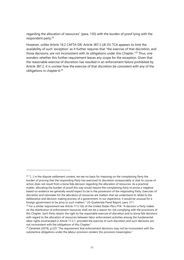regarding the allocation of resources" (para. 150) with the burden of proof lying with the respondent party.<sup>24</sup>

However, unlike Article 16.2 CAFTA-DR, Article 387.3 UK-EU TCA appears to limit the availability of such 'exception' as it further requires that "the exercise of that discretion, and those decisions, are not inconsistent with its obligations under this Chapter."<sup>25</sup> Thus, one wonders whether this further requirement leaves any scope for the exception. Given that the reasonable exercise of discretion has resulted in an enforcement failure prohibited by Article 387.2, it is unclear how the exercise of that discretion be consistent with any of the obligations in chapter 6.<sup>26</sup>

 $24$  "[...] in the dispute settlement context, we see no basis for imposing on the complaining Party the burden of proving that the responding Party has exercised its discretion unreasonably or that its course of action does not result from a bona fide decision regarding the allocation of resources. As a practical matter, allocating the burden of proof this way would require the complaining Party to prove a negative based on evidence we generally would expect to be in the possession of the responding Party. Exercises of discretion and rationales for the allocation of resources are matters that we understand to relate to the deliberative and decision making process of a government. In our experience, it would be unusual for a foreign government to be privy to such matters." US-Guatemala Panel Report, para. 211.

 $25$  For a similar requirement see Article 17.3.1(b) of the United States-Peru FTA: "A decision a Party makes on the distribution of enforcement resources shall not be a reason for not complying with the provisions of this Chapter. Each Party retains the right to the reasonable exercise of discretion and to bona fide decisions with regard to the allocation of resources between labor enforcement activities among the fundamental labor rights enumerated in Article 17.2.1, provided the exercise of such discretion and such decisions are not inconsistent with the obligations of this Chapter."

 $26$  Zandvliet (2019), p.225 "The requirement that enforcement decisions may not be inconsistent with the substantive obligations under the labour provision renders this provision meaningless."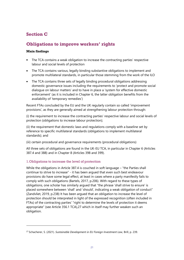# **Section C**

# **Obligations to improve workers' rights**

### **Main findings**

- The TCA contains a weak obligation to increase the contracting parties' respective labour and social levels of protection
- The TCA contains various, legally binding substantive obligations to implement and promote multilateral standards, in particular those stemming from the work of the ILO
- The TCA contains three sets of legally binding procedural obligations addressing domestic governance issues including the requirements to 'protect and promote social dialogue on labour matters' and to have in place a 'system for effective domestic enforcement' (as it is included in Chapter 6, the latter obligation benefits from the availability of 'temporary remedies')

Recent FTAs concluded by the EU and the UK regularly contain so called 'improvement provisions', as they are generally aimed at strengthening labour protection through:

(i) the requirement to increase the contracting parties' respective labour and social levels of protection (obligations to increase labour protection);

(ii) the requirement that domestic laws and regulations comply with a baseline set by reference to specific multilateral standards (obligations to implement multilateral standards); and

(iii) certain procedural and governance requirements (procedural obligations)

All three sets of obligations are found in the UK-EU TCA, in particular in Chapter 6 (Articles 387.4 and 388) and in Chapter 8 (Articles 398 and 399).

### 1.Obligations to increase the level of protection

While the obligations in Article 387.4 is couched in soft language – "the Parties shall continue to strive to increase" - it has been argued that even such best endeavour provisions do have some legal effect, at least in cases where a party manifestly fails to comply with such obligations (Bartels, 2017, p.206). With regard to these types of obligations, one scholar has similarly argued that "the phrase 'shall strive to ensure' is placed somewhere between 'shall' and 'should', indicating a weak obligation of conduct" (Zandvliet, 2019, p.238) It has been argued that an obligation to increase the level of protection should be interpreted in light of the expressed recognition (often included in FTAs) of the contracting parties' "right to determine the levels of protection it deems appropriate" (see Article 356.1 TCA),27 which in itself may further weaken such an obligation.

<sup>27</sup> Schacherer, S. (2021). *Sustainable Development in EU Foreign Investment Law,* Brill, p. 239.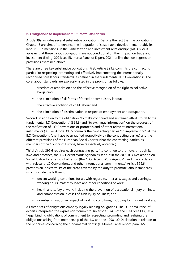### 2. Obligations to implement multilateral standards

Article 399 includes several substantive obligations. Despite the fact that the obligations in Chapter 8 are aimed "to enhance the integration of sustainable development, notably its labour […] dimensions, in the Parties' trade and investment relationship" (Art 397.2), it appears that these various obligations are not conditional on their impact on trade and investment (Ewing, 2021; see EU-Korea Panel of Expert, 2021) unlike the non-regression provisions examined above.

There are three key substantive obligations. First, Article 399.2 commits the contracting parties "to respecting, promoting and effectively implementing the internationally recognised core labour standards, as defined in the fundamental ILO Conventions". The core labour standards are expressly listed in the provision as follows:

- freedom of association and the effective recognition of the right to collective bargaining;
- the elimination of all forms of forced or compulsory labour;
- the effective abolition of child labour; and
- the elimination of discrimination in respect of employment and occupation.

Second, in addition to the obligation "to make continued and sustained efforts to ratify the fundamental ILO Conventions" (399.3) and "to exchange information" on the progress of the ratification of ILO Conventions or protocols and of other relevant international instruments (399.4), Article 399.5 commits the contracting parties "to implementing" all the ILO Conventions (that have been ratified respectively by the contracting parties) and the different provisions of the European Social Charter (that the contracting parties, as members of the Council of Europe, have respectively accepted).

Third, Article 399.6 requires each contracting party "to continue to promote, through its laws and practices, the ILO Decent Work Agenda as set out in the 2008 ILO Declaration on Social Justice for a Fair Globalization (the "ILO Decent Work Agenda") and in accordance with relevant ILO Conventions, and other international commitments." Article 399.6 provides an indicative list of the areas covered by the duty to promote labour standards, which include the following:

- decent working conditions for all, with regard to, inter alia, wages and earnings, working hours, maternity leave and other conditions of work;
- health and safety at work, including the prevention of occupational injury or illness and compensation in cases of such injury or illness; and
- non-discrimination in respect of working conditions, including for migrant workers.

All three sets of obligations embody legally binding obligations. The EU-Korea Panel of experts interpreted the expression 'commit to' (in article 13.4.3 of the EU-Korea FTA) as a "legal binding obligations of commitment to respecting, promoting and realising the obligations arising from membership of the ILO and the 1998 ILO Declaration in relation to the principles concerning the fundamental rights" (EU-Korea Panel report, para. 127).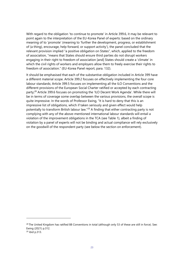With regard to the obligation 'to continue to promote' in Article 399.6, it may be relevant to point again to the interpretation of the EU-Korea Panel of experts: based on the ordinary meaning of to 'promote' (meaning to 'further the development, progress, or establishment of (a thing), encourage, help forward, or support activity'), the panel concluded that the relevant provision implied "a positive obligation on States", which, applied to the freedom of association, "means that States should ensure third parties do not disrupt workers engaging in their right to freedom of association [and] States should create a 'climate' in which the civil rights of workers and employers allow them to freely exercise their rights to freedom of association." (EU-Korea Panel report, para. 132).

It should be emphasised that each of the substantive obligation included in Article 399 have a different material scope. Article 399.2 focuses on effectively implementing the four core labour standards; Article 399.5 focuses on implementing all the ILO Conventions and the different provisions of the European Social Charter ratified or accepted by each contracting party;<sup>28</sup> Article 399.6 focuses on promoting the 'ILO Decent Work Agenda'. While there will be in terms of coverage some overlap between the various provisions, the overall scope is quite impressive. In the words of Professor Ewing, "It is hard to deny that this is an impressive list of obligations, which if taken seriously and given effect would help potentially to transform British labour law."<sup>29</sup> A finding that either contracting party is not complying with any of the above-mentioned international labour standards will entail a violation of the improvement obligations in the TCA (see Table 1), albeit a finding of violation by a panel of experts will not be binding and actual compliance will rely exclusively on the goodwill of the respondent party (see below the section on enforcement).

<sup>&</sup>lt;sup>28</sup> The United Kingdom has ratified 88 Conventions in total (although only 53 of these are still in force). See: Ewing (2021) p.312.

<sup>29</sup> ibid p.313.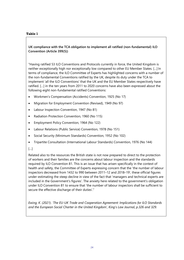#### **Table 1**

**UK compliance with the TCA obligation to implement all ratified (non-fundamental) ILO Convention (Article 399(5))**

"Having ratified 53 ILO Conventions and Protocols currently in force, the United Kingdom is neither exceptionally high nor exceptionally low compared to other EU Member States. […] In terms of compliance, the ILO Committee of Experts has highlighted concerns with a number of the non-fundamental Conventions ratified by the UK, despite its duty under the TCA to implement 'all the ILO Conventions' that the UK and the EU Member States respectively have ratified. […] in the ten years from 2011 to 2020 concerns have also been expressed about the following eight non-fundamental ratified Conventions:

- Workmen's Compensation (Accidents) Convention, 1925 (No 17)
- Migration for Employment Convention (Revised), 1949 (No 97)
- Labour Inspection Convention, 1947 (No 81)
- Radiation Protection Convention, 1960 (No 115)
- Employment Policy Convention, 1964 (No 122)
- Labour Relations (Public Service) Convention, 1978 (No 151)
- Social Security (Minimum Standards) Convention, 1952 (No 102)
- Tripartite Consultation (International Labour Standards) Convention, 1976 (No 144)

#### […]

Related also to the resources the British state is not now prepared to direct to the protection of workers and their families are the concerns about labour inspection and the standards required by ILO Convention 81. This is an issue that has arisen specifically in the context of health and safety, the Committee of Experts expressing concern that the 'the number of labour inspectors decreased from 1432 to 990 between 2011–12 and 2018–19', these official figures under-estimating the steep decline in view of the fact that 'managers and technical experts are included in the Government's figures'. The anxiety here related to the government's obligation under ILO Convention 81 to ensure that 'the number of labour inspectors shall be sufficient to secure the effective discharge of their duties'."

*Ewing, K. (2021). 'The EU-UK Trade and Cooperation Agreement: Implications for ILO Standards and the European Social Charter in the United Kingdom', King's Law Journal, p.326 and 329.*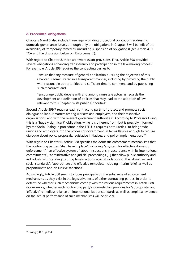### 3. Procedural obligations

Chapters 6 and 8 also include three legally binding procedural obligations addressing domestic governance issues, although only the obligations in Chapter 6 will benefit of the availability of 'temporary remedies' (including suspension of obligations) (see Article 410 TCA and the discussion below on 'Enforcement').

With regard to Chapter 8, there are two relevant provisions. First, Article 398 provides several obligations enhancing transparency and participation in the law-making process. For example, Article 398 requires the contracting parties to

"ensure that any measure of general application pursuing the objectives of this Chapter is administered in a transparent manner, including by providing the public with reasonable opportunities and sufficient time to comment, and by publishing such measures" and

"encourage public debate with and among non-state actors as regards the development and definition of policies that may lead to the adoption of law relevant to this Chapter by its public authorities"

Second, Article 399.7 requires each contracting party to "protect and promote social dialogue on labour matters among workers and employers, and their respective organisations, and with the relevant government authorities." According to Professor Ewing, this is a "hugely significant" obligation: while it is different from (but is possibly informed by) the Social Dialogue procedure in the TFEU, it requires both Parties "to bring trade unions and employers into the process of government, in terms flexible enough to require dialogue about policy proposals, legislative initiatives, and policy implementation."<sup>30</sup>

With regard to Chapter 6, Article 388 specifies the domestic enforcement mechanisms that the contracting parties "shall have in place", including "a system for effective domestic enforcement", "an effective system of labour inspections in accordance with its international commitments", "administrative and judicial proceedings […] that allow public authority and individuals with standing to bring timely actions against violations of the labour law and social standards", "appropriate and effective remedies, including interim relief, as well as proportionate and dissuasive sanctions".

Accordingly, Article 388 seems to focus principally on the substance of enforcement mechanisms as they exist in the legislative texts of either contracting parties. In order to determine whether such mechanisms comply with the various requirements in Article 388 (for example, whether each contracting party's domestic law provides for 'appropriate' and 'effective' remedies) reliance on international labour standards as well as empirical evidence on the actual performance of such mechanisms will be crucial.

<sup>30</sup> Ewing (2021) p.314.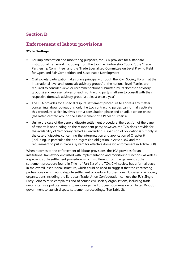# **Section D**

### **Enforcement of labour provisions**

### **Main findings**

- For implementation and monitoring purposes, the TCA provides for a standard institutional framework including, from the top, the 'Partnership Council', the 'Trade Partnership Committee', and the 'Trade Specialised Committee on Level Playing Field for Open and Fair Competition and Sustainable Development'
- Civil society participation takes place principally through the 'Civil Society Forum' at the international level and 'domestic advisory groups' at the national level (Parties are required to consider views or recommendations submitted by its domestic advisory group(s) and representatives of each contracting party shall aim to consult with their respective domestic advisory group(s) at least once a year)
- The TCA provides for a special dispute settlement procedure to address any matter concerning labour obligations; only the two contracting parties can formally activate this procedure, which involves both a consultation phase and an adjudication phase (the latter, centred around the establishment of a Panel of Experts)
- Unlike the case of the general dispute settlement procedure, the decision of the panel of experts is not binding on the respondent party; however, the TCA does provide for the availability of 'temporary remedies' (including suspension of obligations) but only in the case of disputes concerning the interpretation and application of Chapter 6 (including, in particular, the non-regression obligation in Article 387 and the requirement to put in place a system for effective domestic enforcement in Article 388).

When it comes to the enforcement of labour provisions, the TCA provides for an institutional framework entrusted with implementation and monitoring functions, as well as a special dispute settlement procedure, which is different from the general dispute settlement procedure found in Title I of Part Six of the TCA. Civil society has a formal place in the overall institutional structure, which could be used to suggest that the contracting parties consider initiating dispute settlement procedure. Furthermore, EU-based civil society organisations including the European Trade Union Confederation can use the EU's Single Entry Point to raise complaints and of course civil society organisations, including trade unions, can use political means to encourage the European Commission or United Kingdom government to launch dispute settlement proceedings. (See Table 2).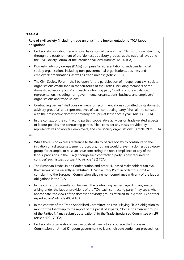#### **Table 2**

### **Role of civil society (including trade unions) in the implementation of TCA labour obligations**

- Civil society, including trade unions, has a formal place in the TCA institutional structure, through the establishment of the 'domestic advisory groups', at the national level, and the Civil Society Forum, at the international level (Articles 12-14 TCA)
- Domestic advisory groups (DAGs) comprise "a representation of independent civil society organisations including non-governmental organisations, business and employers' organisations, as well as trade unions" (Article 13.1)
- The Civil Society Forum "shall be open for the participation of independent civil society organisations established in the territories of the Parties, including members of the domestic advisory groups" and each contracting party "shall promote a balanced representation, including non-governmental organisations, business and employers' organisations and trade unions"
- Contracting parties "shall consider views or recommendations submitted by its domestic advisory group(s)" and representatives of each contracting party "shall aim to consult with their respective domestic advisory group(s) at least once a year" (Art 13.2 TCA)
- In the context of the contracting parties' cooperative activities on trade-related aspects of labour policies, the contracting parties "shall consider any views provided by representatives of workers, employers, and civil society organisations" (Article 399.9 TCA)

\*\*\*

- While there is no express reference to the ability of civil society to contribute to the initiation of a dispute settlement procedure, nothing would prevent a domestic advisory group, for example, to raise an issue concerning the non-compliance of any of the labour provisions in the FTA (although each contracting party is only required 'to consider' such issues pursuant to Article 13.2 TCA)
- The European Trade Union Confederation and other EU-based stakeholders can avail themselves of the recently established EU Single Entry Point in order to submit a complaint to the European Commission alleging non-compliance with any of the labour obligations in the TCA
- In the context of consultation between the contracting parties regarding any matter arising under the labour provisions of the TCA, each contracting party "may seek, when appropriate, the views of the domestic advisory groups referred to in Article 13 or other expert advice" (Article 408.4 TCA)
- In the context of the Trade Specialised Committee on Level Playing Field's obligation to monitor the follow-up to the report of the panel of experts, "domestic advisory groups of the Parties […] may submit observations" to the Trade Specialised Committee on LPF (Article 409.17 TCA)
- Civil society organisations can use political means to encourage the European Commission or United Kingdom government to launch dispute settlement proceedings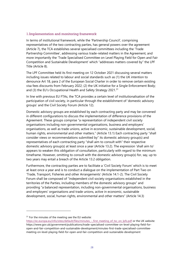#### 1.Implementation and monitoring framework

In terms of institutional framework, while the 'Partnership Council', comprising representatives of the two contracting parties, has general powers over the agreement (Article 7), the TCA establishes several specialised committees including the 'Trade Partnership Committee', addressing various trade-related matters in the Agreement, and more importantly the 'Trade Specialised Committee on Level Playing Field for Open and Fair Competition and Sustainable Development' which "addresses matters covered by" the LPF Title (Article 8).

The LPF Committee held its first meeting on 12 October 2021 discussing several matters including issues related to labour and social standards such as (1) the UK intention to denounce Art 18, para 2 of the European Social Charter in order to remove certain existing visa fees discounts from February 2022; (2) the UK initiative for a Single Enforcement Body; and (3) the EU's Occupational Health and Safety Strategy 2021.<sup>31</sup>

In line with previous EU FTAs, the TCA provides a certain level of institutionalisation of the participation of civil society, in particular through the establishment of 'domestic advisory groups' and the Civil Society Forum (Article 12).

Domestic advisory groups are established by each contracting party and may be convened in different configurations to discuss the implementation of difference provisions of the Agreement. These groups comprise "a representation of independent civil society organisations including non-governmental organisations, business and employers' organisations, as well as trade unions, active in economic, sustainable development, social, human rights, environmental and other matters." (Article 13.1) Each contracting party "shall consider views or recommendations submitted by" its domestic advisory group(s) and representatives of each contracting party "shall aim to consult with" their respective domestic advisory group(s) at least once a year (Article 13.2). The expression 'shall aim to' appears to weaken this obligation of consultation, particularly with regard to the minimum timeframe. However, omitting to consult with the domestic advisory group(s) for, say, up to two years may entail a breach of the Article 13.2 obligation.

Furthermore, the contracting parties are to facilitate a 'Civil Society Forum' which is to meet at least once a year and is to conduct a dialogue on the implementation of Part Two on 'Trade, Transport, Fisheries and other Arrangements' (Article 14.1-2). The Civil Society Forum shall be composed of "independent civil society organisations established in the territories of the Parties, including members of the domestic advisory groups" and providing "a balanced representation, including non-governmental organisations, business and employers' organisations and trade unions, active in economic, sustainable development, social, human rights, environmental and other matters" (Article 14.3)

<sup>&</sup>lt;sup>31</sup> For the minutes of the meeting see the EU website:

https://ec.europa.eu/info/sites/default/files/minutes - first\_meeting\_of\_tsc\_on\_lpfs.pdf or the UK website: [https://www.gov.uk/government/publications/trade-specialised-committee-on-level-playing-field-for](https://www.gov.uk/government/publications/trade-specialised-committee-on-level-playing-field-for-open-and-fair-competition-and-sustainable-development/minutes-first-trade-specialised-committee-meeting-on-level-playing-field-for-open-and-fair-competition-and-sustainable-development)[open-and-fair-competition-and-sustainable-development/minutes-first-trade-specialised-committee](https://www.gov.uk/government/publications/trade-specialised-committee-on-level-playing-field-for-open-and-fair-competition-and-sustainable-development/minutes-first-trade-specialised-committee-meeting-on-level-playing-field-for-open-and-fair-competition-and-sustainable-development)[meeting-on-level-playing-field-for-open-and-fair-competition-and-sustainable-development](https://www.gov.uk/government/publications/trade-specialised-committee-on-level-playing-field-for-open-and-fair-competition-and-sustainable-development/minutes-first-trade-specialised-committee-meeting-on-level-playing-field-for-open-and-fair-competition-and-sustainable-development)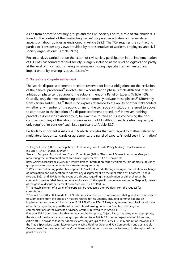Aside from domestic advisory groups and the Civil Society Forum, a role of stakeholders is found in the context of the contracting parties' cooperative activities on trade-related aspects of labour policies as envisioned in Article 399.8. The TCA requires the contracting parties to "consider any views provided by representatives of workers, employers, and civil society organisations" (Article 399.9).

Recent analysis carried out on the extent of civil society participation in the implementation of EU FTAs has found that "civil society is largely included at the level of logistics and partly at the level of information sharing, whereas monitoring capacities remain limited and impact on policy-making is quasi-absent."<sup>32</sup>

### 2. State-State dispute settlement

The special dispute settlement procedure reserved for labour obligations (to the exclusion of the general procedure)<sup>33</sup> involves, first, a consultation phase (Article 408) and, then, an arbitration phase centred around the establishment of a Panel of Experts (Article 409). Crucially, only the two contracting parties can formally activate these phases.<sup>34</sup> Differently from certain earlier FTAs,<sup>35</sup> there is no express reference to the ability of other stakeholders (whether any member of the public or any of the civil society institutions referred to above) to contribute to the initiation of a dispute settlement procedure.<sup>36</sup> However, nothing prevents a domestic advisory group, for example, to raise an issue concerning the noncompliance of any of the labour provisions in the FTA (although each contracting party is only required 'to consider' such issue pursuant to Article 13.2).

Particularly important is Article 409.6 which provides that with regard to matters related to multilateral labour standards or agreements, the panel of experts "should seek information"

<sup>&</sup>lt;sup>32</sup> Drieghe L. et al (2021). 'Participation of Civil Society in EU Trade Policy Making: How Inclusive is Inclusion?', *New Political Economy*

See also: European Economic and Social Committee, (2021). 'The role of Domestic Advisory Groups in monitoring the implementation of Free Trade Agreements' REX/510, online at:

[https://www.eesc.europa.eu/en/our-work/opinions-information-reports/opinions/role-domestic-advisory](https://www.eesc.europa.eu/en/our-work/opinions-information-reports/opinions/role-domestic-advisory-groups-monitoring-implementation-free-trade-agreements)[groups-monitoring-implementation-free-trade-agreements](https://www.eesc.europa.eu/en/our-work/opinions-information-reports/opinions/role-domestic-advisory-groups-monitoring-implementation-free-trade-agreements)

 $33$  While the contracting parties have agreed to "make all efforts through dialogue, consultation, exchange of information and cooperation to address any disagreement on the application of" Chapters 6 and 8 (Articles 389.1 and 407.1), in the event of a dispute regarding the application of either chapter, the contracting parties "shall have recourse exclusively to" the specific procedures set out in Chapter 9, instead of the general dispute settlement procedures in Title I of Part Six.

<sup>&</sup>lt;sup>34</sup> The establishment of a panel of experts can be requested after 90 days from the request for consultations.

<sup>&</sup>lt;sup>35</sup> See Article 23.8.5 EU-Canada CETA "Each Party shall be open to receive and shall give due consideration to submissions from the public on matters related to this Chapter, including communications on implementation concerns." Also Article 13.14.1 EU-Korea FTA "A Party may request consultations with the other Party regarding any matter of mutual interest arising under this Chapter, including the communications of the Domestic Advisory Group(s) referred to in Article 13.12 […]".

<sup>&</sup>lt;sup>36</sup> Article 408.4 does recognise that, in the consultation phase, "[e]ach Party may seek, when appropriate, the views of the domestic advisory groups referred to in Article 13 or other expert advice." Moreover, Article 409.17 provides that the "domestic advisory groups of the Parties […] may submit observations to the Trade Specialised Committee on Level Playing Field for Open and Fair Competition and Sustainable Development" in the context of the Committee's obligation to monitor the follow-up to the report of the panel of experts.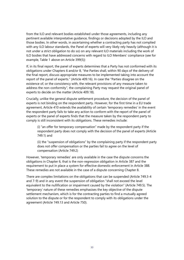from the ILO and relevant bodies established under those agreements, including any pertinent available interpretative guidance, findings or decisions adopted by the ILO and those bodies. In other words, in ascertaining whether a contracting party has not complied with any ILO labour standards, the Panel of experts will very likely rely heavily (although it is not under a strict obligation to do so) on any relevant ILO materials including the work of ILO bodies that have addressed concerns with regard to ILO Members' compliance (see for example, Table 1 above on Article 399(5))

If, in its final report, the panel of experts determines that a Party has not conformed with its obligations under Chapters 6 and/or 8, "the Parties shall, within 90 days of the delivery of the final report, discuss appropriate measures to be implemented taking into account the report of the panel of experts." (Article 409.16). In case the "Parties disagree on the existence of, or the consistency with, the relevant provisions of any measure taken to address the non-conformity", the complaining Party may request the original panel of experts to decide on the matter (Article 409.18).

Crucially, unlike the general dispute settlement procedure, the decision of the panel of experts is not binding on the respondent party. However, for the first time in a EU trade agreement, Article 410 extends the availability of certain 'temporary remedies' in the event the respondent party fails to take any action to conform with the report of the panel of experts or the panel of experts finds that the measure taken by the respondent party to comply is still inconsistent with its obligations. These remedies include:

(i) "an offer for temporary compensation" made by the respondent party if the respondent party does not comply with the decision of the panel of experts (Article 749.1) and

(ii) the "suspension of obligations" by the complaining party if the respondent party does not offer compensation or the parties fail to agree on the level of compensation (Article 749.2)

However, 'temporary remedies' are only available in the case the dispute concerns the obligations in Chapter 6, that is the non-regression obligation in Article 387 and the requirement to put in place a system for effective domestic enforcement in Article 388. These remedies are not available in the case of a dispute concerning Chapter 8.

There are complex limitations on the obligations that can be suspended (Article 749.3-4 and 7-9) and in any event the suspension of obligation "shall not exceed the level equivalent to the nullification or impairment caused by the violation" (Article 749.5). The 'temporary' nature of these remedies emphasises the key objective of the dispute settlement mechanism, which is for the contracting parties to find a mutually agreed solution to the dispute or for the respondent to comply with its obligations under the agreement (Article 749.13 and Article 750).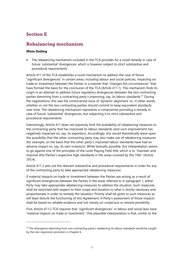# **Section E**

## **Rebalancing mechanism**

### **Main finding**

The rebalancing mechanism included in the TCA provides for a novel remedy in case of future 'substantial' divergences, which is however subject to strict substantive and procedural requirements

Article 411 of the TCA establishes a novel mechanism to address the case of future "significant divergences" in certain areas, including labour and social policies, impacting on trade or investment between the Parties in a manner that "changes the circumstances" that have formed the basis for the conclusion of the TCA (Article 411.1). This mechanism finds its origin in an attempt to address future regulatory divergences between the two contracting parties stemming from a contracting party's improving, say, its labour standards.<sup>37</sup> During the negotiations, this was the controversial issue of 'dynamic alignment' or, in other words, whether or not the two contracting parties should commit to keep equivalent standards over time. The rebalancing mechanism represents a compromise providing a remedy in case of future 'substantial' divergences, but subjecting it to strict substantive and procedural requirements.

Interestingly, Article 411 does not expressly limit the availability of rebalancing measures to the contracting party that has improved its labour standards (and such improvement has negatively impacted on, say, its exporters). Accordingly, this would theoretically leave open the possibility that the other contracting party may also make use of rebalancing measures (for example, on the basis that the other party's improved labour standards have had an adverse impact on, say, its own investors). While textually possible, this interpretation seems to go against one of the principles of the Level Playing Field title, which is to "maintain and improve [the Parties'] respective high standards in the areas covered by this Title" (Article 355.4).

Article 411.2 sets out the relevant substantive and procedural requirements in order for any of the contracting party to take appropriate rebalancing measures:

If material impacts on trade or investment between the Parties are arising as a result of significant divergences between the Parties in the areas referred to in paragraph 1, either Party may take appropriate rebalancing measures to address the situation. Such measures shall be restricted with respect to their scope and duration to what is strictly necessary and proportionate in order to remedy the situation. Priority shall be given to such measures as will least disturb the functioning of this Agreement. A Party's assessment of those impacts shall be based on reliable evidence and not merely on conjecture or remote possibility.

First, Article 411.2 TCA requires that "significant divergences" in labour and social laws have 'material impacts on trade or investment'. One plausible interpretation is that, similar to the

 $37$  The divergence stemming from one contracting party's weakening its labour standards would be caught by the non-regression provision in Chapter 6.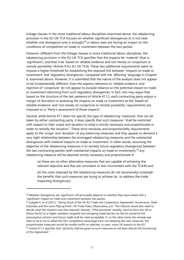linkage clauses in the more traditional labour disciplines examined above, the rebalancing provision in the EU-UK TCA focuses on whether significant divergences (it is not clear whether one divergence only is enough)<sup>38</sup> in labour laws are having an impact on the conditions of competition on trade or investment between the two parties.

However, different from the linkage clauses in more traditional labour disciplines, the rebalancing provision in the EU-UK TCA specifies that the impacts be 'material' (that is, 'significant'), and that it be 'based on reliable evidence and not merely on conjecture or remote possibility' (Article 9.4.2 EU-UK TCA). These two additional requirements seem to impose a higher threshold for establishing the required link between 'impacts on trade or investment' and 'regulatory divergences' compared with the 'affecting' language in Chapter 6, examined above. However, it is submitted that the nature of the analysis does not appear to be fundamentally different. Even the express reference to 'reliable evidence' and rejection of 'conjecture' do not appear to exclude reliance on the potential impact on trade or investment stemming from such regulatory divergences. In fact, one may argue that based on the structure of the last sentence of Article 411.2, each contracting party enjoys a margin of discretion in assessing the impacts on trade or investment as the 'based on reliable evidence' and 'not merely on conjecture or remote possibility' requirements are imposed on a "Party's assessment of those impacts".

Second, while Article 411 does not specify the type of rebalancing 'measures' that can be taken by either contracting party, it does specify that such measures "shall be restricted with respect to their scope and duration to what is strictly necessary and proportionate in order to remedy the situation". These strict necessity and proportionality requirements apply to the 'scope' and 'duration' of any balancing measures and they appear to demand a very tight relationship between the envisaged rebalancing measures and the substantial divergences with material impacts on trade or investment. In other words, assuming the objective of the rebalancing measures is to remedy future regulatory divergences between the two contracting parties (with substantial impacts on trade or investment),  $39$  any rebalancing measure will be deemed strictly necessary and proportionate if:

(a) there are no other alternative measures that are capable of achieving the relevant objective and that are consistent or less inconsistent with the TCA40 and

(b) the costs imposed by the rebalancing measures do not (excessively) outweigh the benefits that such measures are trying to achieve (ie., to address the trade impacting divergences).

<sup>&</sup>lt;sup>38</sup> Whether divergences are 'significant' will principally depend on whether they have linked with a 'significant' impact on trade and investment between the parties.

<sup>39</sup> Lydgate E. et al (2021)**.** 'Taking Stock of the UK-EU Trade and Cooperation Agreement: Governance, State Subsidies and the Level Playing Field'**,** *UK Trade Policy Observatory***,** p.6: "The tribunal would also need to decide what the situation was that required 'remedy'. If the perceived 'remedy' were to force the UK to follow the EU to a higher standard, targeted and swingeing trade barriers by the EU would be the presumptive solution and hence might well be ruled acceptable. If, on the other hand, the remedy was seen to be to try to offset the UK's competitive advantage from not adopting the new measures, the proportionate measures would be smaller tariffs on selected, or even, many UK exports to the EU." <sup>40</sup> Article 411.2 specifies that "[p]riority shall be given to such measures as will least disturb the functioning of this Agreement."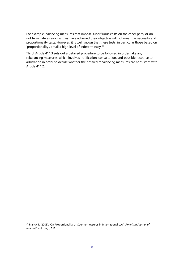For example, balancing measures that impose superfluous costs on the other party or do not terminate as soon as they have achieved their objective will not meet the necessity and proportionality tests. However, it is well known that these tests, in particular those based on 'proportionality', entail a high level of indeterminacy.<sup>41</sup>

Third, Article 411.3 sets out a detailed procedure to be followed in order take any rebalancing measures, which involves notification, consultation, and possible recourse to arbitration in order to decide whether the notified rebalancing measures are consistent with Article 411.2.

<sup>41</sup> Franck T. (2008). 'On Proportionality of Countermeasures in International Law', *American Journal of International Law*, p.717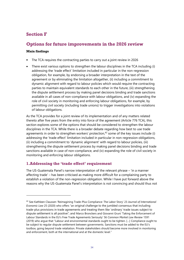# **Section F**

### **Options for future improvements in the 2026 review**

### **Main findings**

- The TCA requires the contracting parties to carry out a joint review in 2026
- There exist various options to strengthen the labour disciplines in the TCA including (i) addressing the 'trade effect' limitation included in particular in the non-regression obligation, for example, by endorsing a broader interpretation in the text of the agreement or by eliminating the limitation altogether, (ii) including a commitment to dynamic alignment with regard to labour policies which would require the contracting parties to maintain equivalent standards to each other in the future, (iii) strengthening the dispute settlement process by making panel decisions binding and trade sanctions available in all cases of non-compliance with labour obligations, and (iv) expanding the role of civil society in monitoring and enforcing labour obligations, for example, by permitting civil society (including trade unions) to trigger investigations into violations of labour obligations.

As the TCA provides for a joint review of its implementation and of any matters related thereto after five years from the entry into force of the agreement (Article 776 TCA), this section explores some of the options that should be considered to strengthen the labour disciplines in the TCA. While there is a broader debate regarding how best to use trade agreements in order to strengthen workers' protection, $42$  some of the key issues include (i) addressing the 'trade effect' limitation included in particular in non-regression obligations, (ii) including a commitment to 'dynamic alignment' with regard to labour policies, (iii) strengthening the dispute settlement process by making panel decisions binding and trade sanctions available in case of non-compliance, and (iv) expanding the role of civil society in monitoring and enforcing labour obligations.

### **1.Addressing the 'trade effect' requirement**

The US-Guatemala Panel's narrow interpretation of the relevant phrase – 'in a manner affecting trade' – has been criticised as making more difficult for a complaining party to establish a violation of the non-regression obligation. While I have put forward above the reasons why the US-Guatemala Panel's interpretation is not convincing and should thus not

<sup>42</sup> See Kathleen Claussen 'Reimagining Trade-Plus Compliance: The Labor Story' 23 *Journal of International Economic Law* 25 (2020) who offers "an original challenge to the jumbled consensus that including trade-plus provisions in trade agreements and treating them like 'ordinary' trade issues subject to dispute settlement is all positive"; and Marco Bronckers and Giovanni Gruni 'Taking the Enforcement of Labour Standards in the EU's Free Trade Agreements Seriously' 56 *Common Market Law Review* 1591 (2019) who argue that "Labour and environmental standards ought to be tighten. […] Compliance ought to be subject to regular dispute settlement between governments. Sanctions must be added to the EU's toolbox, going beyond trade retaliation. Private stakeholders should become more involved in monitoring and enforcement, both at the international and at the domestic level."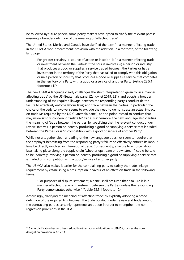be followed by future panels, some policy makers have opted to clarify the relevant phrase ensuring a broader definition of the meaning of 'affecting trade'.

The United States, Mexico and Canada have clarified the term 'in a manner affecting trade' in the USMCA 'non-enforcement' provision with the addition, in a footnote, of the following language:

For greater certainty, a 'course of action or inaction' is 'in a manner affecting trade or investment between the Parties' if the course involves: (i) a person or industry that produces a good or supplies a service traded between the Parties or has an investment in the territory of the Party that has failed to comply with this obligation; or (ii) a person or industry that produces a good or supplies a service that competes in the territory of a Party with a good or a service of another Party. (Article 23.5.1 footnote  $11^{43}$ 

The new USMCA language clearly challenges the strict interpretation given to 'in a manner affecting trade' by the US-Guatemala panel (Zandvliet 2019: 221), and adopts a broader understanding of the required linkage between the responding party's conduct (ie the failure to effectively enforce labour laws) and trade between the parties. In particular, the choice of the verb 'to involve' seems to exclude the need to demonstrate an actual impact on trade (as required by the US-Guatemala panel), and to point instead to conduct that may more simply 'concern' or 'relate to' trade. Furthermore, the new language also clarifies the meaning of 'trade between the parties' by specifying that the relevant conduct under review involves 'a person or industry producing a good or supplying a service that is traded between the Parties' or is 'in competition with a good or service of another Party'.

While not altogether clear, a reading of the new language does not seem to require that the employer benefitting from the responding party's failure to effectively enforce its labour laws be directly involved in international trade. Consequently, a failure to enforce labour laws taking place along the supply chain (whether upstream or downstream) could be said to be indirectly involving a person or industry producing a good or supplying a service that is traded or in competition with a good/service of another party.

The USMCA also makes it easier for the complaining party to satisfy the trade linkage requirement by establishing a presumption in favour of an effect on trade in the following terms:

"For purposes of dispute settlement, a panel shall presume that a failure is in a manner affecting trade or investment between the Parties, unless the responding Party demonstrates otherwise." (Article 23.5.1 footnote 12)

Accordingly, clarifying the meaning of 'affecting trade' by explicitly adopting a broad definition of the required link between the State conduct under review and trade among the contracting parties certainly represents an option in order to strengthen the nonregression provisions in the TCA.

 $43$  Same clarification has also been added in other labour obligations in USMCA, such as the nonderogation provision in Art 23.4.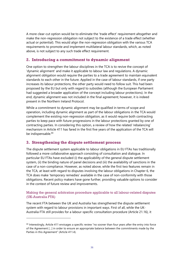A more clear-cut option would be to eliminate the 'trade effect' requirement altogether and make the non-regression obligation not subject to the existence of a trade effect (whether actual or potential). This would align the non-regression obligation with the various TCA requirements to promote and implement multilateral labour standards, which, as noted above, is not subject to any such trade effect requirement.

### **2. Introducing a commitment to dynamic alignment**

One option to strengthen the labour disciplines in the TCA is to revive the concept of 'dynamic alignment' and make it applicable to labour law and regulations. A dynamic alignment obligation would require the parties to a trade agreement to maintain equivalent standards to each other in the future. Applied in the case of labour standards, if one party increases its labour protections, the other party would need to follow suit. This had been proposed by the EU but only with regard to subsidies (although the European Parliament had suggested a broader application of the concept including labour protections). In the end, dynamic alignment was not included in the final agreement; however, it is indeed present in the Northern Ireland Protocol.

While a commitment to dynamic alignment may be qualified in terms of scope and operation, including dynamic alignment as part of the labour obligations in the TCA would complement the existing non-regression obligation, as it would require both contracting parties to keep pace with future progressions in the labour protections granted by one of contracting parties. In considering this option, a review of how the related 'rebalancing' mechanism in Article 411 has fared in the first five years of the application of the TCA will be indispensable.<sup>44</sup>

### **3. Strengthening the dispute settlement process**

The dispute settlement system applicable to labour obligations in EU FTAs has traditionally followed a more collaborative approach consisting of consultation and dialogue. In particular EU FTAs have excluded (i) the applicability of the general dispute settlement system, (ii) the binding nature of panel decisions and (iii) the availability of sanctions in the case of a non-compliance. However, as noted above, while the first two features remain in the TCA, at least with regard to disputes involving the labour obligations in Chapter 6, the TCA does make 'temporary remedies' available in the case of non-conformity with those obligations. Recent policy makers have gone further, providing valuable options to consider in the context of future review and improvements.

### Making the general arbitration procedure applicable to all labour-related disputes (UK-Australia FTA)

The recent FTA between the UK and Australia has strengthened the dispute settlement system with regard to labour provisions in important ways. First of all, while the UK-Australia FTA still provides for a labour-specific consultation procedure (Article 21.16), it

<sup>44</sup> Interestingly, Article 411 envisages a specific review "no sooner than four years after the entry into force of the Agreement […] in order to ensure an appropriate balance between the commitments made by the Parties in this Agreement" (Article 411.4).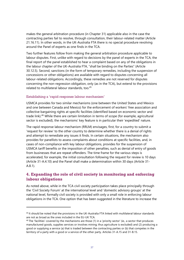makes the general arbitration procedure (in Chapter 31) applicable also in the case the contracting parties fail to resolve, through consultation, their labour-related matter (Article 21.16.11). In other words, in the UK-Australia FTA there is no special procedure revolving around the Panel of experts as one finds in the TCA.

Two further features follow from making the general arbitration procedure applicable to labour disputes. First, unlike with regard to decisions by the panel of experts in the TCA, the final report of the panel established to hear a complaint based on any of the obligations in the labour chapter of the UK-Australia FTA, "shall be binding on the Parties" (Article 30.12.5). Second, sanctions (in the form of temporary remedies, including the suspension of concessions or other obligations) are available with regard to disputes concerning all labour-related obligations. Accordingly, these remedies are not reserved for disputes concerning the non-regression obligation, only (as in the TCA), but extend to the provisions related to multilateral labour standards, too.<sup>45</sup>

### Establishing a 'rapid response labour mechanism'

USMCA provides for two similar mechanisms (one between the United States and Mexico and one between Canada and Mexico) for the enforcement of workers' free association and collective bargaining rights at specific facilities (identified based on economic sector and trade link).<sup>46</sup> While there are certain limitation in terms of scope (for example, agricultural sector is excluded), the mechanisms' key feature is in particular their 'expedited' nature.

The rapid response labour mechanism (RRLM) envisages, first, for a country to submit a 'request for review' to the other country to determine whether there is a denial of rights and attempt to remediate any issues it finds. In certain situations, the mechanism also provides for panellists to assess complaints about conditions at specific facilities, and, in cases of non-compliance with key labour obligations, provides for the suspension of USMCA tariff benefits or the imposition of other penalties, such as denial of entry of goods from businesses that are repeat offenders. The time frame for the various steps is accelerated, for example, the initial consultation following the request for review is 10 days (Article 31-A.4.10) and the Panel shall make a determination within 30 days (Article 31- A.8.1).

### **4. Expanding the role of civil society in monitoring and enforcing labour obligations**

As noted above, while in the TCA civil society participation takes place principally through the 'Civil Society Forum' at the international level and 'domestic advisory groups' at the national level, formally civil society is provided with only a small role in enforcing labour obligations in the TCA. One option that has been suggested in the literature to increase the

<sup>45</sup> It should be noted that the provisions in the UK-Australia FTA linked with multilateral labour standards are not as broad as the ones included in the EU-UK TCA.

<sup>&</sup>lt;sup>46</sup> The 'facilities' covered by the mechanisms are those (1) in a 'priority sector' (ie., a sector that produces manufactured goods, supplies services or involves mining; thus agriculture is excluded) and (2) producing a good or supplying a service (a) that is traded between the contracting parties or (b) that competes in the territory of a party with a good or a service of the other party. Articles 31-A.15 and 31-B.15.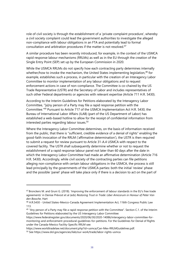role of civil society is through the establishment of a 'private complaint procedure', whereby a civil society complaint could lead the government authorities to investigate the alleged non-compliance with labour obligations in an FTA and potentially lead to formal consultation and arbitration procedures if the matter is not resolved.<sup>47</sup>

A similar procedure has been recently introduced, for example, in the context of the USMCA rapid response labour mechanisms (RRLMs) as well as in the EU through the creation of the Single Entry Point (SEP) set up by the European Commission in 2020.

While the USMCA RRLMs do not specify how each contracting party determines internally whether/how to invoke the mechanism, the United States implementing legislation.<sup>48</sup> for example, establishes such a process, in particular with the creation of an Interagency Labor Committee to monitor implementation of any labour obligations and to request enforcement actions in case of non-compliance. The Committee is co-chaired by the US Trade Representative (USTR) and the Secretary of Labor and includes representatives of such other Federal departments or agencies with relevant expertise (Article 711 H.R. 5430).

According to the Interim Guidelines for Petitions elaborated by the Interagency Labor Committee, "[a]ny person of a Party may file a rapid response petition with the Committee."<sup>49</sup> Pursuant to Article 717 of the USMCA Implementation Act H.R. 5430, the Bureau of International Labor Affairs (ILAB) (part of the US Department of Labor) has established a web-based hotline to allow for the receipt of confidential information from interested parties regarding labour issues.<sup>50</sup>

Where the Interagency Labor Committee determines, on the basis of information received from the public, that there is "sufficient, credible evidence of a denial of rights" enabling the good-faith invocation of the RRLM ('affirmative determination'), the USTR is then required to submit a request for review pursuant to Article 31-A.4 USMCA with respect to the covered facility. The USTR shall subsequently determine whether or not to request the establishment of a rapid response labour panel not later than 60 days after the date in which the Interagency Labor Committee had made an affirmative determination (Article 716 H.R. 5430). Accordingly, while civil society of the contracting parties can file petitions alleging non-compliance with certain labour obligations in the USMCA, the process is still lead principally by the governments of the USMCA parties: both the initial 'review' phase and the possible 'panel' phase will take place only if there is a decision to act on the part of

<sup>47</sup> Bronckers M. and Gruni G. (2018). 'Improving the enforcement of labour standards in the EU's free trade agreements' in Denise Prévost et al (eds) *Restoring Trust in Trade: Liber Amicorum in Honour of Peter Van den Bossche*, Hart

<sup>48</sup> H.R.5430 - United States-Mexico-Canada Agreement Implementation Act, 116th Congress Public Law 113.

<sup>&</sup>lt;sup>49</sup> "Any person of a Party may file a rapid response petition with the Committee". Section C.1. of the Interim Guidelines for Petitions elaborated by the US Interagency Labor Committee:

[https://www.federalregister.gov/documents/2020/06/30/2020-14086/interagency-labor-committee-for](https://www.federalregister.gov/documents/2020/06/30/2020-14086/interagency-labor-committee-for-monitoring-and-enforcement-procedural-guidelines-for-petitions)[monitoring-and-enforcement-procedural-guidelines-for-petitions.](https://www.federalregister.gov/documents/2020/06/30/2020-14086/interagency-labor-committee-for-monitoring-and-enforcement-procedural-guidelines-for-petitions) For the Guidelines for Denial of Rights under the Canada-Mexico Facility-Specific RRLM see:

[https://www.worldtradelaw.net/document.php?id=usmca/Can-Mex-RRLMGuidelines.pdf.](https://www.worldtradelaw.net/document.php?id=usmca/Can-Mex-RRLMGuidelines.pdf)

<sup>50</sup> Se[e https://www.dol.gov/agencies/ilab/our-work/trade/labor-rights-usmca](https://www.dol.gov/agencies/ilab/our-work/trade/labor-rights-usmca)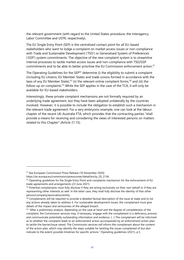the relevant government (with regard to the United States procedure, the Interagency Labor Committee and USTR, respectively).

The EU Single Entry Point (SEP) is the centralised contact point for all EU-based stakeholders who want to lodge a complaint on market access issues or non-compliance with Trade and Sustainable Development ('TSD') or Generalised System of Preferences ('GSP') system commitments. The objective of the new complaint system is to streamline internal processes to tackle market access issues and non-compliance with TSD/GSP commitments and to be able to better prioritise the EU Commission enforcement action.<sup>51</sup>

The Operating Guidelines for the SEP<sup>52</sup> determine (i) the eligibility to submit a complaint (including EU citizens, EU Member States and trade unions formed in accordance with the laws of any EU Member State),<sup>53</sup> (ii) the relevant online complaint forms,<sup>54</sup> and (iii) the follow-up on complaints.<sup>55</sup> While the SEP applies in the case of the TCA, it will only be available for EU-based stakeholders.

Interestingly, these private complaint mechanisms are not formally required by an underlying trade agreement, but they have been adopted unilaterally by the countries involved. However, it is possible to include the obligation to establish such a mechanism in the relevant trade agreement. For a very embryonic example, one can look at the labour chapter of the recent UK-Australia FTA, which provides that the contracting parties "shall provide a means for receiving and considering the views of interested persons on matters related to this Chapter" (Article 21.15).

<sup>51</sup> See European Commission Press Release (16 November 2020)

[https://ec.europa.eu/commission/presscorner/detail/en/ip\\_20\\_2134.](https://ec.europa.eu/commission/presscorner/detail/en/ip_20_2134) 

<sup>&</sup>lt;sup>52</sup> Operating guidelines for the Single Entry Point and complaints mechanism for the enforcement of EU trade agreements and arrangements (23 June 2021)

<sup>&</sup>lt;sup>53</sup> Potential complainants must fully disclose if they are acting exclusively on their own behalf or if they are representing other interests as well. In the latter case, they shall fully disclose the identity of that other person/company/association/entity.

<sup>&</sup>lt;sup>54</sup> Complainants will be required to provide a detailed factual description of the issue at stake and to list any actions already taken to address it. For sustainable development issues, the complainant must give details of the impact and seriousness of the alleged breach.

<sup>&</sup>lt;sup>55</sup> "After a preliminary analysis, depending on the case at hand and the degree of completeness of the complaint, the Commission services may, if necessary, engage with the complainant in a deficiency process and communicate potentially outstanding information and evidence. […] The complainant will be informed as to whether the complaint leads to an enforcement action accompanied by an enforcement action plan to tackle the barrier/issue raised. The Commission services will inform the complainant about the content of the action plan, which may identify the steps suitable for tackling the issues complained of but also indicate to the extent possible timelines for specific actions." Operating guidelines (2021), p.5.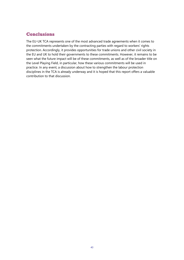## **Conclusions**

The EU-UK TCA represents one of the most advanced trade agreements when it comes to the commitments undertaken by the contracting parties with regard to workers' rights protection. Accordingly, it provides opportunities for trade unions and other civil society in the EU and UK to hold their governments to these commitments. However, it remains to be seen what the future impact will be of these commitments, as well as of the broader title on the Level Playing Field, in particular, how these various commitments will be used in practice. In any event, a discussion about how to strengthen the labour protection disciplines in the TCA is already underway and it is hoped that this report offers a valuable contribution to that discussion.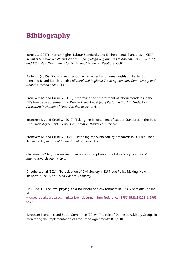# **Bibliography**

Bartels L. (2017). 'Human Rights, Labour Standards, and Environmental Standards in CETA' in Griller S., Obwexer W. and Vranes E. (eds.) *Mega-Regional Trade Agreements: CETA, TTIP, and TiSA: New Orientations for EU External Economic Relations*. OUP.

Bartels L. (2015). 'Social Issues: Labour, environment and human rights', in Lester S., Mercurio B. and Bartels L. (eds.) *Bilateral and Regional Trade Agreements: Commentary and Analysis, second edition.* CUP.

Bronckers M. and Gruni G. (2018). 'Improving the enforcement of labour standards in the EU's free trade agreements' in Denise Prévost et al (eds) *Restoring Trust in Trade: Liber Amicorum in Honour of Peter Van den Bossche*. Hart.

Bronckers M. and Gruni G. (2019). 'Taking the Enforcement of Labour Standards in the EU's Free Trade Agreements Seriously', *Common Market Law Review.* 

Bronckers M. and Gruni G. (2021). 'Retooling the Sustainability Standards in EU Free Trade Agreements', *Journal of International Economic Law.*

Claussen K. (2020). 'Reimagining Trade-Plus Compliance: The Labor Story'*, Journal of International Economic Law.* 

Drieghe L. et al (2021). 'Participation of Civil Society in EU Trade Policy Making: How Inclusive is Inclusion?', *New Political Economy.*

EPRS (2021). 'The level playing-field for labour and environment in EU-UK relations', online at:

[www.europarl.europa.eu/thinktank/en/document.html?reference=EPRS\\_BRI%282021%2969](http://www.europarl.europa.eu/thinktank/en/document.html?reference=EPRS_BRI%282021%29690576) [0576](http://www.europarl.europa.eu/thinktank/en/document.html?reference=EPRS_BRI%282021%29690576)

European Economic and Social Committee (2019). 'The role of Domestic Advisory Groups in monitoring the implementation of Free Trade Agreements' REX/510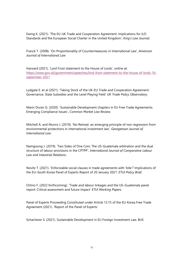Ewing K. (2021). 'The EU-UK Trade and Cooperation Agreement: Implications for ILO Standards and the European Social Charter in the United Kingdom', *King's Law Journal.*

Franck T. (2008). 'On Proportionality of Countermeasures in International Law', *American Journal of International Law*

Hansard (2021). 'Lord Frost statement to the House of Lords', online at: [https://www.gov.uk/government/speeches/lord-frost-statement-to-the-house-of-lords-16](https://www.gov.uk/government/speeches/lord-frost-statement-to-the-house-of-lords-16-september-2021) [september-2021](https://www.gov.uk/government/speeches/lord-frost-statement-to-the-house-of-lords-16-september-2021)

Lydgate E. et al (2021). 'Taking Stock of the UK-EU Trade and Cooperation Agreement: Governance, State Subsidies and the Level Playing Field' *UK Trade Policy Observatory*.

Marin Duran G. (2020). 'Sustainable Development chapters in EU Free Trade Agreements: Emerging Compliance Issues', *Common Market Law Review.*

Mitchell A. and Munro J. (2019). 'No Retreat: an emerging principle of non-regression from environmental protections in international investment law', *Georgetown Journal of International Law.*

Namgoong J. (2019). 'Two Sides of One Coin: The US-Guatemala arbitration and the dual structure of labour provisions in the CPTPP', *International Journal of Comparative Labour Law and Industrial Relations*.

Novitz T. (2021). 'Enforceable social clauses in trade agreements with 'bite'? Implications of the EU–South Korea Panel of Experts Report of 20 January 2021' *ETUI Policy Brief*.

Ortino F. (2022 forthcoming). 'Trade and labour linkages and the US–Guatemala panel report: Critical assessment and future impact' *ETUI Working Papers*.

Panel of Experts Proceeding Constituted under Article 13.15 of the EU-Korea Free Trade Agreement (2021). 'Report of the Panel of Experts'

Schacherer S. (2021). Sustainable Development in EU Foreign Investment Law. Brill.